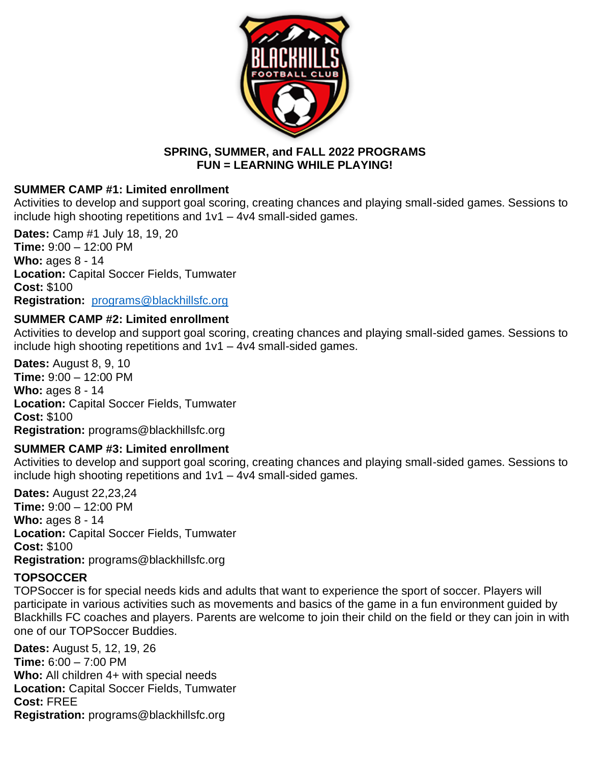

### **SPRING, SUMMER, and FALL 2022 PROGRAMS FUN = LEARNING WHILE PLAYING!**

## **SUMMER CAMP #1: Limited enrollment**

Activities to develop and support goal scoring, creating chances and playing small-sided games. Sessions to include high shooting repetitions and  $1v1 - 4v4$  small-sided games.

**Dates:** Camp #1 July 18, 19, 20 **Time:** 9:00 – 12:00 PM **Who:** ages 8 - 14 **Location:** Capital Soccer Fields, Tumwater **Cost:** \$100 **Registration:** [programs@blackhillsfc.org](mailto:programs@blackhillsfc.org)

## **SUMMER CAMP #2: Limited enrollment**

Activities to develop and support goal scoring, creating chances and playing small-sided games. Sessions to include high shooting repetitions and 1v1 – 4v4 small-sided games.

**Dates:** August 8, 9, 10 **Time:** 9:00 – 12:00 PM **Who:** ages 8 - 14 **Location:** Capital Soccer Fields, Tumwater **Cost:** \$100 **Registration:** programs@blackhillsfc.org

# **SUMMER CAMP #3: Limited enrollment**

Activities to develop and support goal scoring, creating chances and playing small-sided games. Sessions to include high shooting repetitions and 1v1 – 4v4 small-sided games.

**Dates:** August 22,23,24 **Time:** 9:00 – 12:00 PM **Who:** ages 8 - 14 **Location:** Capital Soccer Fields, Tumwater **Cost:** \$100 **Registration:** programs@blackhillsfc.org

# **TOPSOCCER**

TOPSoccer is for special needs kids and adults that want to experience the sport of soccer. Players will participate in various activities such as movements and basics of the game in a fun environment guided by Blackhills FC coaches and players. Parents are welcome to join their child on the field or they can join in with one of our TOPSoccer Buddies.

**Dates:** August 5, 12, 19, 26 **Time:** 6:00 – 7:00 PM **Who:** All children 4+ with special needs **Location:** Capital Soccer Fields, Tumwater **Cost:** FREE **Registration:** programs@blackhillsfc.org